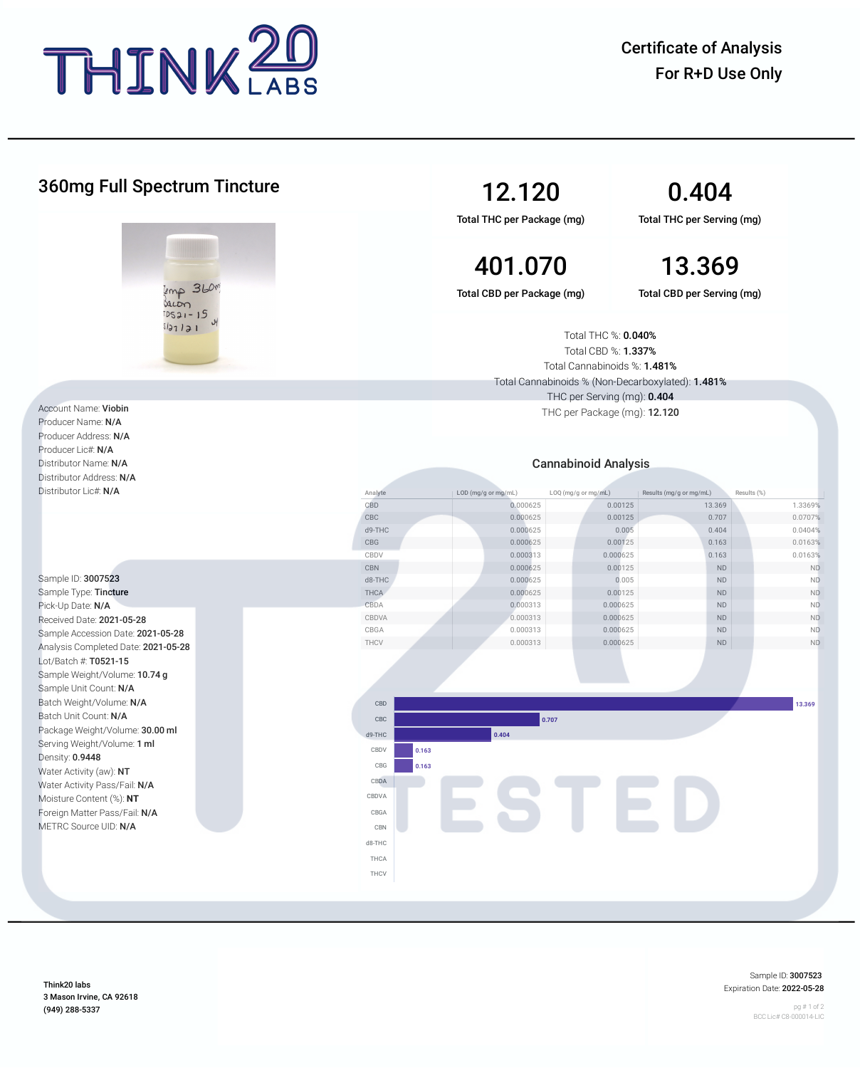

Certificate of Analysis For R+D Use Only

| <b>360mg Full Spectrum Tincture</b>                                                       |                             | 12.120<br>Total THC per Package (mg)                                                                                                                                                        |                     | 0.404<br>Total THC per Serving (mg)    |                      |  |
|-------------------------------------------------------------------------------------------|-----------------------------|---------------------------------------------------------------------------------------------------------------------------------------------------------------------------------------------|---------------------|----------------------------------------|----------------------|--|
|                                                                                           |                             | 401.070                                                                                                                                                                                     |                     | 13.369                                 |                      |  |
| $kmp$ 360<br>sacon<br>$DS21 - 15$<br>sl3121                                               |                             | Total CBD per Package (mg)<br>Total CBD per Serving (mg)<br>Total THC %: 0.040%<br>Total CBD %: 1.337%<br>Total Cannabinoids %: 1.481%<br>Total Cannabinoids % (Non-Decarboxylated): 1.481% |                     |                                        |                      |  |
|                                                                                           | THC per Serving (mg): 0.404 |                                                                                                                                                                                             |                     |                                        |                      |  |
| Account Name: Viobin<br>Producer Name: N/A<br>Producer Address: N/A<br>Producer Lic#: N/A |                             | THC per Package (mg): 12.120                                                                                                                                                                |                     |                                        |                      |  |
| Distributor Name: N/A                                                                     |                             | <b>Cannabinoid Analysis</b>                                                                                                                                                                 |                     |                                        |                      |  |
| Distributor Address: N/A                                                                  |                             |                                                                                                                                                                                             |                     |                                        |                      |  |
| Distributor Lic#: N/A                                                                     | Analyte                     | LOD (mg/g or mg/mL)<br>LOQ (mg/g or mg/mL)                                                                                                                                                  |                     | Results (%)<br>Results (mg/g or mg/mL) |                      |  |
|                                                                                           | CBD                         | 0.000625                                                                                                                                                                                    | 0.00125             | 13.369                                 | 1.3369%              |  |
|                                                                                           | CBC                         | 0.000625                                                                                                                                                                                    | 0.00125             | 0.707                                  | 0.0707%              |  |
|                                                                                           | d9-THC                      | 0.000625                                                                                                                                                                                    | 0.005               | 0.404                                  | 0.0404%              |  |
|                                                                                           | CBG<br>CBDV                 | 0.000625                                                                                                                                                                                    | 0.00125             | 0.163                                  | 0.0163%              |  |
|                                                                                           | CBN                         | 0.000313<br>0.000625                                                                                                                                                                        | 0.000625<br>0.00125 | 0.163<br><b>ND</b>                     | 0.0163%<br><b>ND</b> |  |
| Sample ID: 3007523                                                                        | d8-THC                      | 0.000625                                                                                                                                                                                    | 0.005               | ND                                     | ND                   |  |
| Sample Type: Tincture                                                                     | THCA                        | 0.000625                                                                                                                                                                                    | 0.00125             | ND                                     | ND                   |  |
| Pick-Up Date: N/A                                                                         | CBDA                        | 0.000313                                                                                                                                                                                    | 0.000625            | ND                                     | ND.                  |  |
| Received Date: 2021-05-28                                                                 | CBDVA                       | 0.000313                                                                                                                                                                                    | 0.000625            | ND                                     | <b>ND</b>            |  |
| Sample Accession Date: 2021-05-28                                                         | CBGA                        | 0.000313                                                                                                                                                                                    | 0.000625            | ND                                     | ND.                  |  |
| Analysis Completed Date: 2021-05-28                                                       | THCV                        | 0.000313                                                                                                                                                                                    | 0.000625            | $\mathsf{ND}$                          | $\mathsf{ND}$        |  |
| Lot/Batch #: T0521-15                                                                     |                             |                                                                                                                                                                                             |                     |                                        |                      |  |
| Sample Weight/Volume: 10.74 g                                                             |                             |                                                                                                                                                                                             |                     |                                        |                      |  |
| Sample Unit Count: N/A                                                                    |                             |                                                                                                                                                                                             |                     |                                        |                      |  |
| Batch Weight/Volume: N/A                                                                  | CBD                         |                                                                                                                                                                                             |                     |                                        | 13.369               |  |
| Batch Unit Count: N/A                                                                     | CBC                         | 0.707                                                                                                                                                                                       |                     |                                        |                      |  |
| Package Weight/Volume: 30.00 ml                                                           |                             | 0.404<br>d9-THC                                                                                                                                                                             |                     |                                        |                      |  |
| Serving Weight/Volume: 1 ml                                                               | CBDV<br>0.163               |                                                                                                                                                                                             |                     |                                        |                      |  |
| Density: 0.9448                                                                           |                             |                                                                                                                                                                                             |                     |                                        |                      |  |
| Water Activity (aw): NT                                                                   | CBG<br>0.163                |                                                                                                                                                                                             |                     |                                        |                      |  |
| Water Activity Pass/Fail: N/A                                                             | CBDA                        | STED                                                                                                                                                                                        |                     |                                        |                      |  |
| Moisture Content (%): NT                                                                  | CBDVA                       |                                                                                                                                                                                             |                     |                                        |                      |  |
| Foreign Matter Pass/Fail: N/A                                                             | CBGA                        |                                                                                                                                                                                             |                     |                                        |                      |  |
| METRC Source UID: N/A                                                                     | CBN                         |                                                                                                                                                                                             |                     |                                        |                      |  |
|                                                                                           | d8-THC                      |                                                                                                                                                                                             |                     |                                        |                      |  |
|                                                                                           | THCA                        |                                                                                                                                                                                             |                     |                                        |                      |  |
|                                                                                           | THCV                        |                                                                                                                                                                                             |                     |                                        |                      |  |
|                                                                                           |                             |                                                                                                                                                                                             |                     |                                        |                      |  |

Think20 labs 3 Mason Irvine, CA 92618 (949) 288-5337

Sample ID: 3007523 Expiration Date: 2022-05-28